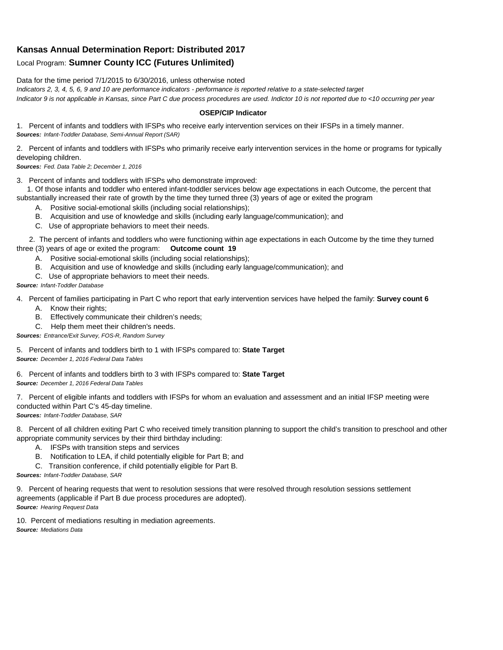## **Kansas Annual Determination Report: Distributed 2017**

## Local Program: **Sumner County ICC (Futures Unlimited)**

Data for the time period 7/1/2015 to 6/30/2016, unless otherwise noted

*Indicators 2, 3, 4, 5, 6, 9 and 10 are performance indicators - performance is reported relative to a state-selected target Indicator 9 is not applicable in Kansas, since Part C due process procedures are used. Indictor 10 is not reported due to <10 occurring per year*

## **OSEP/CIP Indicator**

1. Percent of infants and toddlers with IFSPs who receive early intervention services on their IFSPs in a timely manner. *Sources: Infant-Toddler Database, Semi-Annual Report (SAR)* 

2. Percent of infants and toddlers with IFSPs who primarily receive early intervention services in the home or programs for typically developing children.

*Sources: Fed. Data Table 2; December 1, 2016*

3. Percent of infants and toddlers with IFSPs who demonstrate improved:

 1. Of those infants and toddler who entered infant-toddler services below age expectations in each Outcome, the percent that substantially increased their rate of growth by the time they turned three (3) years of age or exited the program

- A. Positive social-emotional skills (including social relationships);
- B. Acquisition and use of knowledge and skills (including early language/communication); and
- C. Use of appropriate behaviors to meet their needs.

 2. The percent of infants and toddlers who were functioning within age expectations in each Outcome by the time they turned three (3) years of age or exited the program: **Outcome count 19**

- A. Positive social-emotional skills (including social relationships);
- B. Acquisition and use of knowledge and skills (including early language/communication); and
- C. Use of appropriate behaviors to meet their needs.

## *Source: Infant-Toddler Database*

4. Percent of families participating in Part C who report that early intervention services have helped the family: **Survey count 6**

- A. Know their rights;
- B. Effectively communicate their children's needs;
- C. Help them meet their children's needs.
- *Sources: Entrance/Exit Survey, FOS-R, Random Survey*

5. Percent of infants and toddlers birth to 1 with IFSPs compared to: **State Target** *Source: December 1, 2016 Federal Data Tables*

6. Percent of infants and toddlers birth to 3 with IFSPs compared to: **State Target** *Source: December 1, 2016 Federal Data Tables*

7. Percent of eligible infants and toddlers with IFSPs for whom an evaluation and assessment and an initial IFSP meeting were conducted within Part C's 45-day timeline.

*Sources: Infant-Toddler Database, SAR*

8. Percent of all children exiting Part C who received timely transition planning to support the child's transition to preschool and other appropriate community services by their third birthday including:

- A. IFSPs with transition steps and services
- B. Notification to LEA, if child potentially eligible for Part B; and
- C. Transition conference, if child potentially eligible for Part B.

*Sources: Infant-Toddler Database, SAR*

9. Percent of hearing requests that went to resolution sessions that were resolved through resolution sessions settlement agreements (applicable if Part B due process procedures are adopted). *Source: Hearing Request Data*

10. Percent of mediations resulting in mediation agreements. *Source: Mediations Data*